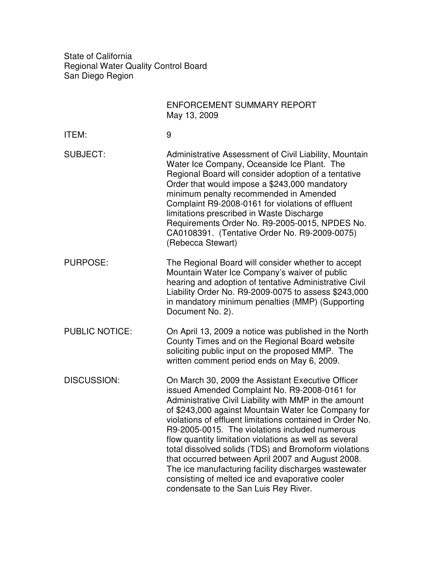State of California Regional Water Quality Control Board San Diego Region

|                       | <b>ENFORCEMENT SUMMARY REPORT</b><br>May 13, 2009                                                                                                                                                                                                                                                                                                                                                                                                                                                                                                                                                                                                             |
|-----------------------|---------------------------------------------------------------------------------------------------------------------------------------------------------------------------------------------------------------------------------------------------------------------------------------------------------------------------------------------------------------------------------------------------------------------------------------------------------------------------------------------------------------------------------------------------------------------------------------------------------------------------------------------------------------|
| ITEM:                 | 9                                                                                                                                                                                                                                                                                                                                                                                                                                                                                                                                                                                                                                                             |
| <b>SUBJECT:</b>       | Administrative Assessment of Civil Liability, Mountain<br>Water Ice Company, Oceanside Ice Plant. The<br>Regional Board will consider adoption of a tentative<br>Order that would impose a \$243,000 mandatory<br>minimum penalty recommended in Amended<br>Complaint R9-2008-0161 for violations of effluent<br>limitations prescribed in Waste Discharge<br>Requirements Order No. R9-2005-0015, NPDES No.<br>CA0108391. (Tentative Order No. R9-2009-0075)<br>(Rebecca Stewart)                                                                                                                                                                            |
| <b>PURPOSE:</b>       | The Regional Board will consider whether to accept<br>Mountain Water Ice Company's waiver of public<br>hearing and adoption of tentative Administrative Civil<br>Liability Order No. R9-2009-0075 to assess \$243,000<br>in mandatory minimum penalties (MMP) (Supporting<br>Document No. 2).                                                                                                                                                                                                                                                                                                                                                                 |
| <b>PUBLIC NOTICE:</b> | On April 13, 2009 a notice was published in the North<br>County Times and on the Regional Board website<br>soliciting public input on the proposed MMP. The<br>written comment period ends on May 6, 2009.                                                                                                                                                                                                                                                                                                                                                                                                                                                    |
| <b>DISCUSSION:</b>    | On March 30, 2009 the Assistant Executive Officer<br>issued Amended Complaint No. R9-2008-0161 for<br>Administrative Civil Liability with MMP in the amount<br>of \$243,000 against Mountain Water Ice Company for<br>violations of effluent limitations contained in Order No.<br>R9-2005-0015. The violations included numerous<br>flow quantity limitation violations as well as several<br>total dissolved solids (TDS) and Bromoform violations<br>that occurred between April 2007 and August 2008.<br>The ice manufacturing facility discharges wastewater<br>consisting of melted ice and evaporative cooler<br>condensate to the San Luis Rey River. |